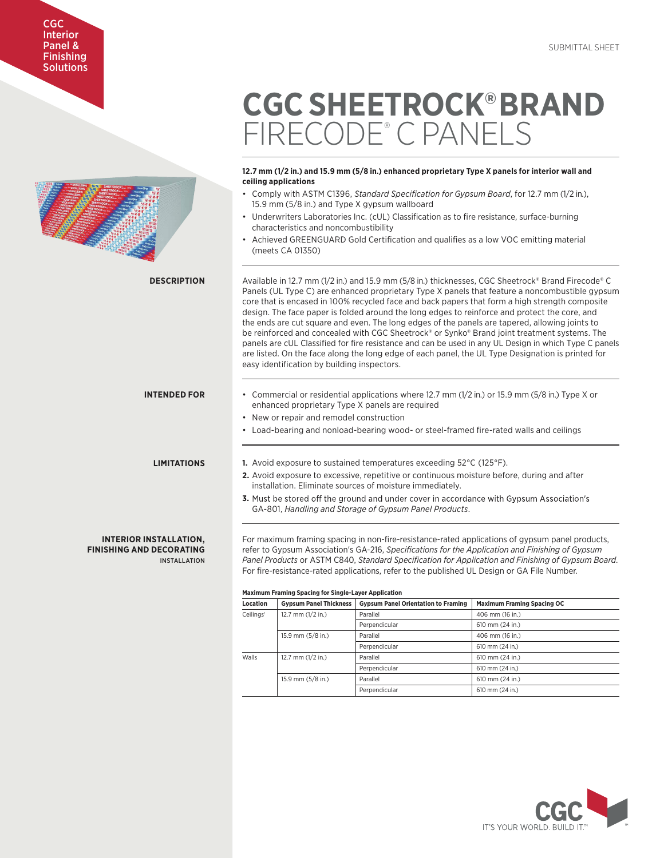# CGC Interior Panel & **Finishing Solutions**

# **12.7 mm (1/2 in.) and 15.9 mm (5/8 in.) enhanced proprietary Type X panels for interior wall and ceiling applications** • Comply with ASTM C1396, *Standard Specification for Gypsum Board*, for 12.7 mm (1/2 in.), 15.9 mm (5/8 in.) and Type X gypsum wallboard Underwriters Laboratories Inc. (cUL) Classification as to fire resistance, surface-burning characteristics and noncombustibility • Achieved GREENGUARD Gold Certification and qualifies as a low VOC emitting material (meets CA 01350) Available in 12.7 mm (1/2 in.) and 15.9 mm (5/8 in.) thicknesses, CGC Sheetrock® Brand Firecode® C Panels (UL Type C) are enhanced proprietary Type X panels that feature a noncombustible gypsum core that is encased in 100% recycled face and back papers that form a high strength composite design. The face paper is folded around the long edges to reinforce and protect the core, and the ends are cut square and even. The long edges of the panels are tapered, allowing joints to be reinforced and concealed with CGC Sheetrock® or Synko® Brand joint treatment systems. The panels are cUL Classified for fire resistance and can be used in any UL Design in which Type C panels are listed. On the face along the long edge of each panel, the UL Type Designation is printed for easy identification by building inspectors. • Commercial or residential applications where 12.7 mm (1/2 in.) or 15.9 mm (5/8 in.) Type X or enhanced proprietary Type X panels are required • New or repair and remodel construction • Load-bearing and nonload-bearing wood- or steel-framed fire-rated walls and ceilings **1.** Avoid exposure to sustained temperatures exceeding 52°C (125°F). **2.** Avoid exposure to excessive, repetitive or continuous moisture before, during and after installation. Eliminate sources of moisture immediately. **3.** Must be stored off the ground and under cover in accordance with Gypsum Association's GA-801, *Handling and Storage of Gypsum Panel Products*. For maximum framing spacing in non-fire-resistance-rated applications of gypsum panel products, refer to Gypsum Association's GA-216, *Specifications for the Application and Finishing of Gypsum Panel Products* or ASTM C840, *Standard Specification for Application and Finishing of Gypsum Board*. For fire-resistance-rated applications, refer to the published UL Design or GA File Number. **Maximum Framing Spacing for Single-Layer Application Location Gypsum Panel Thickness Gypsum Panel Orientation to Framing Maximum Framing Spacing OC DESCRIPTION INTENDED FOR LIMITATIONS INTERIOR INSTALLATION, FINISHING AND DECORATING** INSTALLATION

| Location              | <b>Gypsum Panel Thickness</b> | <b>Gypsum Panel Orientation to Framing</b> | <b>Maximum Framing Spacing OC</b> |
|-----------------------|-------------------------------|--------------------------------------------|-----------------------------------|
| Ceilings <sup>1</sup> | 12.7 mm $(1/2$ in.)           | Parallel                                   | 406 mm (16 in.)                   |
|                       |                               | Perpendicular                              | 610 mm (24 in.)                   |
|                       | 15.9 mm (5/8 in.)             | Parallel                                   | 406 mm (16 in.)                   |
|                       |                               | Perpendicular                              | 610 mm (24 in.)                   |
| Walls                 | 12.7 mm $(1/2$ in.)           | Parallel                                   | 610 mm (24 in.)                   |
|                       |                               | Perpendicular                              | 610 mm (24 in.)                   |
|                       | 15.9 mm (5/8 in.)             | Parallel                                   | 610 mm (24 in.)                   |
|                       |                               | Perpendicular                              | 610 mm (24 in.)                   |
|                       |                               |                                            |                                   |

**CGC SHEETROCK®BRAND** 

FIRECODE® C PANELS

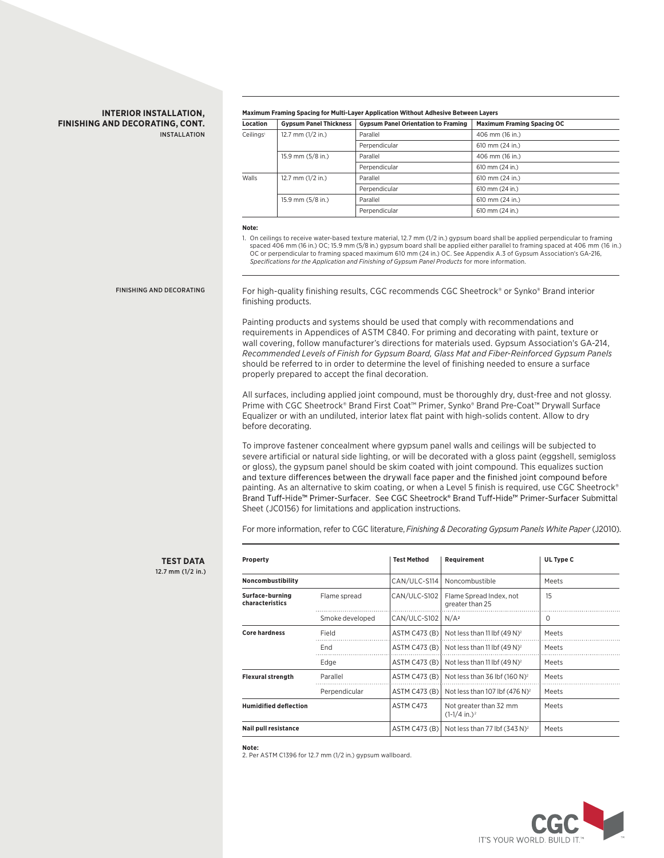## **INTERIOR INSTALLATION, FINISHING AND DECORATING, CONT.** INSTALLATION

### **Maximum Framing Spacing for Multi-Layer Application Without Adhesive Between Layers**

| Location              | <b>Gypsum Panel Thickness</b> | <b>Gypsum Panel Orientation to Framing</b> | <b>Maximum Framing Spacing OC</b> |
|-----------------------|-------------------------------|--------------------------------------------|-----------------------------------|
| Ceilings <sup>1</sup> | 12.7 mm $(1/2$ in.)           | Parallel                                   | 406 mm (16 in.)                   |
|                       |                               | Perpendicular                              | 610 mm (24 in.)                   |
|                       | 15.9 mm (5/8 in.)             | Parallel                                   | 406 mm (16 in.)                   |
|                       |                               | Perpendicular                              | 610 mm (24 in.)                   |
| <b>Walls</b>          | 12.7 mm $(1/2$ in.)           | Parallel                                   | 610 mm (24 in.)                   |
|                       |                               | Perpendicular                              | 610 mm (24 in.)                   |
|                       | $15.9$ mm $(5/8$ in.)         | Parallel                                   | 610 mm (24 in.)                   |
|                       |                               | Perpendicular                              | 610 mm (24 in.)                   |
|                       |                               |                                            |                                   |

#### **Note:**

1. On ceilings to receive water-based texture material, 12.7 mm (1/2 in.) gypsum board shall be applied perpendicular to framing spaced 406 mm (16 in.) OC; 15.9 mm (5/8 in.) gypsum board shall be applied either parallel to framing spaced at 406 mm (16 in.) OC or perpendicular to framing spaced maximum 610 mm (24 in.) OC. See Appendix A.3 of Gypsum Association's GA-216, *Specifications for the Application and Finishing of Gypsum Panel Products* for more information.

## FINISHING AND DECORATING

**TEST DATA** 12.7 mm (1/2 in.)

For high-quality finishing results, CGC recommends CGC Sheetrock® or Synko® Brand interior finishing products.

Painting products and systems should be used that comply with recommendations and requirements in Appendices of ASTM C840. For priming and decorating with paint, texture or wall covering, follow manufacturer's directions for materials used. Gypsum Association's GA-214, *Recommended Levels of Finish for Gypsum Board, Glass Mat and Fiber-Reinforced Gypsum Panels*  should be referred to in order to determine the level of finishing needed to ensure a surface properly prepared to accept the final decoration.

All surfaces, including applied joint compound, must be thoroughly dry, dust-free and not glossy. Prime with CGC Sheetrock® Brand First Coat™ Primer, Synko® Brand Pre-Coat™ Drywall Surface Equalizer or with an undiluted, interior latex flat paint with high-solids content. Allow to dry before decorating.

To improve fastener concealment where gypsum panel walls and ceilings will be subjected to severe artificial or natural side lighting, or will be decorated with a gloss paint (eggshell, semigloss or gloss), the gypsum panel should be skim coated with joint compound. This equalizes suction and texture differences between the drywall face paper and the finished joint compound before painting. As an alternative to skim coating, or when a Level 5 finish is required, use CGC Sheetrock® Brand Tuff-Hide™ Primer-Surfacer. See CGC Sheetrock® Brand Tuff-Hide™ Primer-Surfacer Submittal Sheet (JC0156) for limitations and application instructions.

For more information, refer to CGC literature, *Finishing & Decorating Gypsum Panels White Paper* (J2010).

| Property<br>Noncombustibility      |                 | <b>Test Method</b> | Requirement                                                     | UL Type C<br>Meets |
|------------------------------------|-----------------|--------------------|-----------------------------------------------------------------|--------------------|
|                                    |                 | CAN/ULC-S114       | Noncombustible                                                  |                    |
| Surface-burning<br>characteristics | Flame spread    | CAN/ULC-S102       | Flame Spread Index, not<br>greater than 25                      | 15                 |
|                                    | Smoke developed | CAN/ULC-S102       | $N/A^2$                                                         | $\Omega$           |
| <b>Core hardness</b>               | Field           |                    | ASTM C473 (B) Not less than 11 lbf $(49 N)^2$                   | Meets              |
|                                    | End             |                    | ASTM C473 (B) Not less than 11 lbf $(49 N)^2$                   | Meets              |
|                                    | Edge            |                    | ASTM C473 (B) Not less than 11 lbf $(49 N)^2$                   | Meets              |
| <b>Flexural strength</b>           | Parallel        |                    | ASTM C473 (B) $\vert$ Not less than 36 lbf (160 N) <sup>2</sup> | Meets              |
|                                    | Perpendicular   | ASTM C473 (B)      | Not less than 107 lbf $(476 N)^2$                               | Meets              |
| <b>Humidified deflection</b>       |                 | ASTM C473          | Not greater than 32 mm<br>$(1-1/4$ in.) <sup>2</sup>            | Meets              |
| Nail pull resistance               |                 |                    | ASTM C473 (B)   Not less than 77 lbf $(343 N)^2$                | Meets              |

#### **Note:**

2. Per ASTM C1396 for 12.7 mm (1/2 in.) gypsum wallboard.